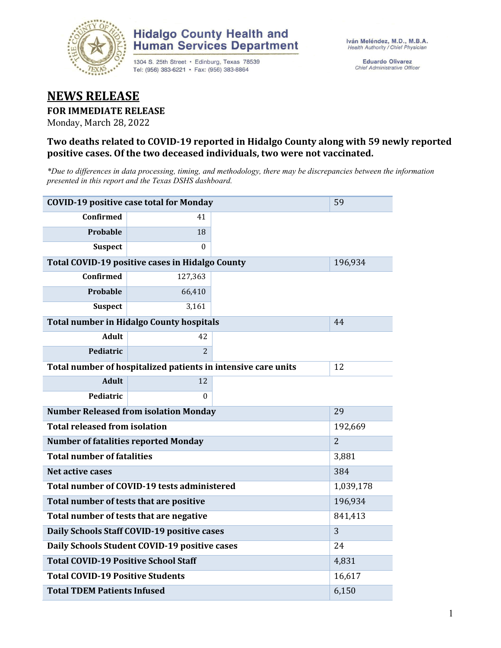

# **Hidalgo County Health and Human Services Department**

1304 S. 25th Street · Edinburg, Texas 78539 Tel: (956) 383-6221 · Fax: (956) 383-8864

**Eduardo Olivarez** Chief Administrative Officer

# **NEWS RELEASE**

### **FOR IMMEDIATE RELEASE**

Monday, March 28, 2022

## **Two deaths related to COVID-19 reported in Hidalgo County along with 59 newly reported positive cases. Of the two deceased individuals, two were not vaccinated.**

*\*Due to differences in data processing, timing, and methodology, there may be discrepancies between the information presented in this report and the Texas DSHS dashboard.*

| <b>COVID-19 positive case total for Monday</b> |                                                               |                | 59      |
|------------------------------------------------|---------------------------------------------------------------|----------------|---------|
| <b>Confirmed</b>                               | 41                                                            |                |         |
| <b>Probable</b>                                | 18                                                            |                |         |
| <b>Suspect</b>                                 | $\Omega$                                                      |                |         |
|                                                | <b>Total COVID-19 positive cases in Hidalgo County</b>        |                | 196,934 |
| <b>Confirmed</b>                               | 127,363                                                       |                |         |
| Probable                                       | 66,410                                                        |                |         |
| <b>Suspect</b>                                 | 3,161                                                         |                |         |
|                                                | <b>Total number in Hidalgo County hospitals</b>               |                | 44      |
| <b>Adult</b>                                   | 42                                                            |                |         |
| Pediatric                                      | $\overline{2}$                                                |                |         |
|                                                | Total number of hospitalized patients in intensive care units | 12             |         |
| <b>Adult</b>                                   | 12                                                            |                |         |
| <b>Pediatric</b>                               | 0                                                             |                |         |
| <b>Number Released from isolation Monday</b>   |                                                               | 29             |         |
| <b>Total released from isolation</b>           |                                                               | 192,669        |         |
| <b>Number of fatalities reported Monday</b>    |                                                               | $\overline{2}$ |         |
| <b>Total number of fatalities</b>              |                                                               | 3,881          |         |
| Net active cases                               |                                                               | 384            |         |
| Total number of COVID-19 tests administered    | 1,039,178                                                     |                |         |
| Total number of tests that are positive        |                                                               | 196,934        |         |
| Total number of tests that are negative        |                                                               | 841,413        |         |
| Daily Schools Staff COVID-19 positive cases    |                                                               | $\overline{3}$ |         |
| Daily Schools Student COVID-19 positive cases  |                                                               | 24             |         |
| <b>Total COVID-19 Positive School Staff</b>    | 4,831                                                         |                |         |
| <b>Total COVID-19 Positive Students</b>        | 16,617                                                        |                |         |
| <b>Total TDEM Patients Infused</b>             |                                                               | 6,150          |         |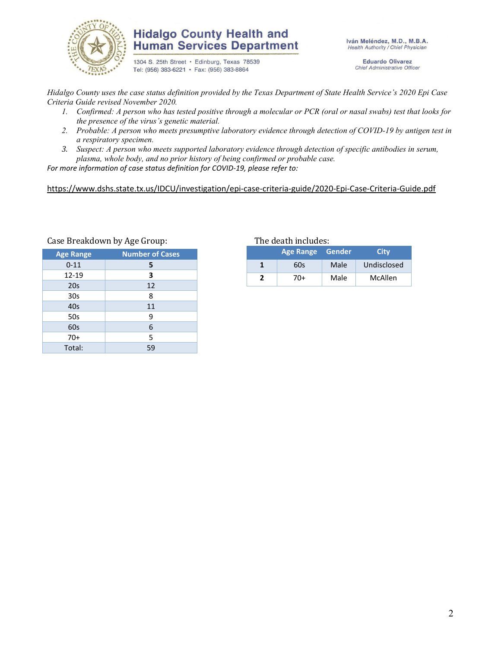

# **Hidalgo County Health and Human Services Department**

1304 S. 25th Street · Edinburg, Texas 78539 Tel: (956) 383-6221 · Fax: (956) 383-8864

Iván Meléndez, M.D., M.B.A. Health Authority / Chief Physician

> **Eduardo Olivarez** Chief Administrative Officer

*Hidalgo County uses the case status definition provided by the Texas Department of State Health Service's 2020 Epi Case Criteria Guide revised November 2020.*

- *1. Confirmed: A person who has tested positive through a molecular or PCR (oral or nasal swabs) test that looks for the presence of the virus's genetic material.*
- *2. Probable: A person who meets presumptive laboratory evidence through detection of COVID-19 by antigen test in a respiratory specimen.*
- *3. Suspect: A person who meets supported laboratory evidence through detection of specific antibodies in serum, plasma, whole body, and no prior history of being confirmed or probable case.*

*For more information of case status definition for COVID-19, please refer to:*

<https://www.dshs.state.tx.us/IDCU/investigation/epi-case-criteria-guide/2020-Epi-Case-Criteria-Guide.pdf>

| <b>Age Range</b> | <b>Number of Cases</b> |  |
|------------------|------------------------|--|
| $0 - 11$         | 5                      |  |
| 12-19            | 3                      |  |
| 20s              | 12                     |  |
| 30 <sub>s</sub>  | 8                      |  |
| 40s              | 11                     |  |
| 50s              | 9                      |  |
| 60s              | 6                      |  |
| $70+$            | 5                      |  |
| Total:           | 59                     |  |

#### Case Breakdown by Age Group: The death includes:

| Age Range Gender |     |      | <b>City</b>            |  |
|------------------|-----|------|------------------------|--|
|                  | 60s | Male | Undisclosed<br>McAllen |  |
|                  | 70+ | Male |                        |  |